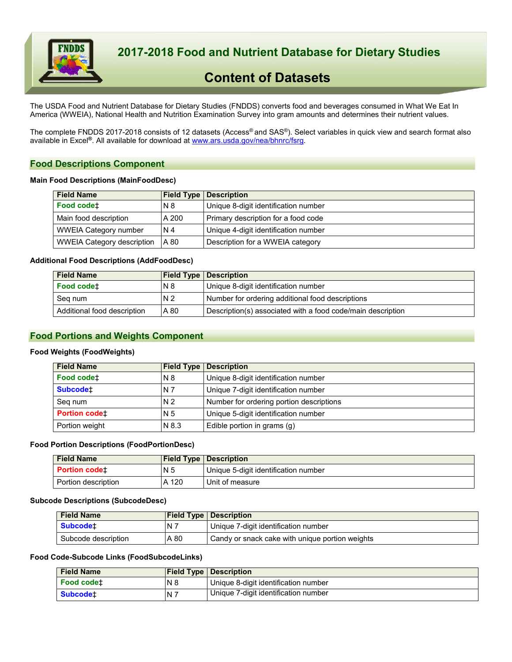

**2017-2018 Food and Nutrient Database for Dietary Studies**

# **Content of Datasets**

The USDA Food and Nutrient Database for Dietary Studies (FNDDS) converts food and beverages consumed in What We Eat In America (WWEIA), National Health and Nutrition Examination Survey into gram amounts and determines their nutrient values.

The complete FNDDS 2017-2018 consists of 12 datasets (Access® and SAS®). Select variables in quick view and search format also available in Excel**®**. All available for download a[t www.ars.usda.gov/nea/bhnrc/fsrg.](http://www.ars.usda.gov/nea/bhnrc/fsrg)

# **Food Descriptions Component**

## **Main Food Descriptions (MainFoodDesc)**

| <b>Field Name</b>                 | <b>Field Type</b> | <b>Description</b>                   |
|-----------------------------------|-------------------|--------------------------------------|
| Food codet                        | IN 8              | Unique 8-digit identification number |
| Main food description             | A 200             | Primary description for a food code  |
| <b>WWEIA Category number</b>      | IN 4              | Unique 4-digit identification number |
| <b>WWEIA Category description</b> | IA 80             | Description for a WWEIA category     |

## **Additional Food Descriptions (AddFoodDesc)**

| <b>Field Name</b>           |           | <b>Field Type   Description</b>                             |
|-----------------------------|-----------|-------------------------------------------------------------|
| Food codet                  | <b>N8</b> | Unique 8-digit identification number                        |
| Seg num                     | N 2       | Number for ordering additional food descriptions            |
| Additional food description | A 80      | Description(s) associated with a food code/main description |

## **Food Portions and Weights Component**

#### **Food Weights (FoodWeights)**

| <b>Field Name</b>    |                | <b>Field Type   Description</b>          |
|----------------------|----------------|------------------------------------------|
| Food codet           | N 8            | Unique 8-digit identification number     |
| <b>Subcodet</b>      | N 7            | Unique 7-digit identification number     |
| Seg num              | N <sub>2</sub> | Number for ordering portion descriptions |
| <b>Portion codet</b> | N 5            | Unique 5-digit identification number     |
| Portion weight       | N 8.3          | Edible portion in grams (g)              |

#### **Food Portion Descriptions (FoodPortionDesc)**

| <b>Field Name</b>    |       | <b>Field Type Description</b>        |
|----------------------|-------|--------------------------------------|
| <b>Portion codet</b> | N 5   | Unique 5-digit identification number |
| Portion description  | A 120 | Unit of measure                      |

## **Subcode Descriptions (SubcodeDesc)**

| <b>Field Name</b>   |                | <b>Field Type   Description</b>                 |
|---------------------|----------------|-------------------------------------------------|
| Subcodet            | N <sub>7</sub> | Unique 7-digit identification number            |
| Subcode description | A 80           | Candy or snack cake with unique portion weights |

## **Food Code-Subcode Links (FoodSubcodeLinks)**

| <b>Field Name</b> |                | <b>Field Type   Description</b>      |
|-------------------|----------------|--------------------------------------|
| Food codet        | N 8            | Unique 8-digit identification number |
| <b>Subcodet</b>   | $\overline{N}$ | Unique 7-digit identification number |